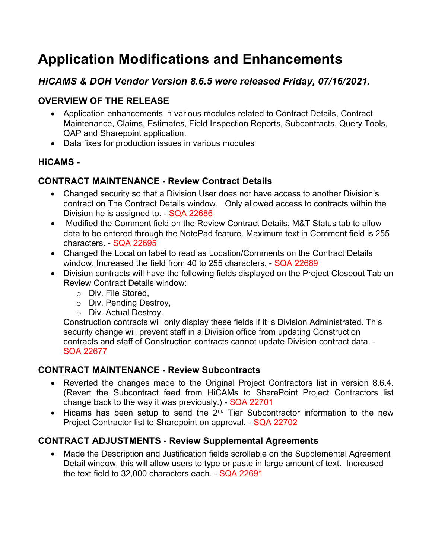# **Application Modifications and Enhancements**

## *HiCAMS & DOH Vendor Version 8.6.5 were released Friday, 07/16/2021.*

## **OVERVIEW OF THE RELEASE**

- Application enhancements in various modules related to Contract Details, Contract Maintenance, Claims, Estimates, Field Inspection Reports, Subcontracts, Query Tools, QAP and Sharepoint application.
- Data fixes for production issues in various modules

## **HiCAMS -**

## **CONTRACT MAINTENANCE - Review Contract Details**

- Changed security so that a Division User does not have access to another Division's contract on The Contract Details window. Only allowed access to contracts within the Division he is assigned to. - SQA 22686
- Modified the Comment field on the Review Contract Details, M&T Status tab to allow data to be entered through the NotePad feature. Maximum text in Comment field is 255 characters. - SQA 22695
- Changed the Location label to read as Location/Comments on the Contract Details window. Increased the field from 40 to 255 characters. - SQA 22689
- Division contracts will have the following fields displayed on the Project Closeout Tab on Review Contract Details window:
	- o Div. File Stored,
	- o Div. Pending Destroy,
	- o Div. Actual Destroy.

Construction contracts will only display these fields if it is Division Administrated. This security change will prevent staff in a Division office from updating Construction contracts and staff of Construction contracts cannot update Division contract data. - SQA 22677

## **CONTRACT MAINTENANCE - Review Subcontracts**

- Reverted the changes made to the Original Project Contractors list in version 8.6.4. (Revert the Subcontract feed from HiCAMs to SharePoint Project Contractors list change back to the way it was previously.) - SQA 22701
- Hicams has been setup to send the  $2^{nd}$  Tier Subcontractor information to the new Project Contractor list to Sharepoint on approval. - SQA 22702

## **CONTRACT ADJUSTMENTS - Review Supplemental Agreements**

• Made the Description and Justification fields scrollable on the Supplemental Agreement Detail window, this will allow users to type or paste in large amount of text. Increased the text field to 32,000 characters each. - SQA 22691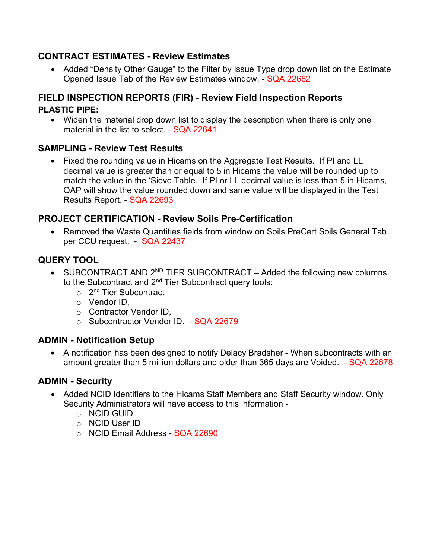#### **CONTRACT ESTIMATES - Review Estimates**

• Added "Density Other Gauge" to the Filter by Issue Type drop down list on the Estimate Opened Issue Tab of the Review Estimates window. - SQA 22682

## **FIELD INSPECTION REPORTS (FIR) - Review Field Inspection Reports**

#### **PLASTIC PIPE:**

• Widen the material drop down list to display the description when there is only one material in the list to select. - SQA 22641

## **SAMPLING - Review Test Results**

• Fixed the rounding value in Hicams on the Aggregate Test Results. If PI and LL decimal value is greater than or equal to 5 in Hicams the value will be rounded up to match the value in the 'Sieve Table. If PI or LL decimal value is less than 5 in Hicams, QAP will show the value rounded down and same value will be displayed in the Test Results Report. - SQA 22693

## **PROJECT CERTIFICATION - Review Soils Pre-Certification**

• Removed the Waste Quantities fields from window on Soils PreCert Soils General Tab per CCU request. - SQA 22437

## **QUERY TOOL**

- SUBCONTRACT AND  $2^{ND}$  TIER SUBCONTRACT Added the following new columns to the Subcontract and 2<sup>nd</sup> Tier Subcontract query tools:
	- $\circ$  2<sup>nd</sup> Tier Subcontract
	- o Vendor ID,
	- o Contractor Vendor ID,
	- o Subcontractor Vendor ID. SQA 22679

## **ADMIN - Notification Setup**

• A notification has been designed to notify Delacy Bradsher - When subcontracts with an amount greater than 5 million dollars and older than 365 days are Voided. - SQA 22678

#### **ADMIN - Security**

- Added NCID Identifiers to the Hicams Staff Members and Staff Security window. Only Security Administrators will have access to this information
	- o NCID GUID
	- o NCID User ID
	- o NCID Email Address SQA 22690